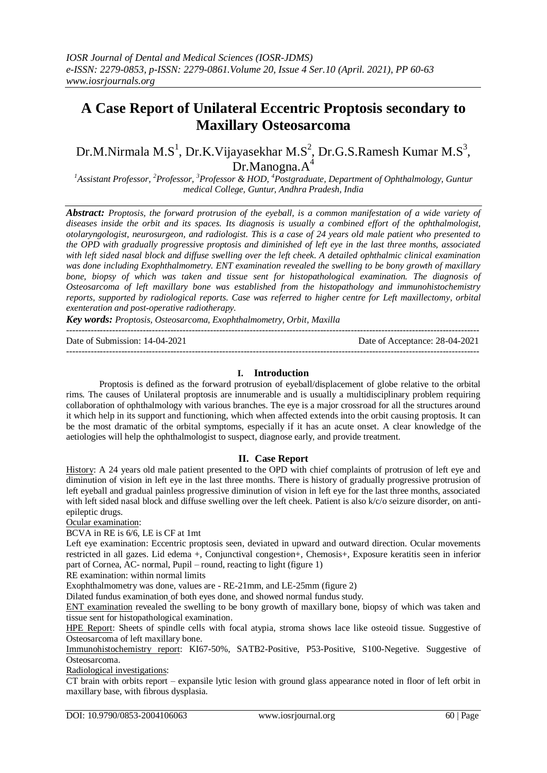# **A Case Report of Unilateral Eccentric Proptosis secondary to Maxillary Osteosarcoma**

Dr.M.Nirmala M.S<sup>1</sup>, Dr.K.Vijayasekhar M.S<sup>2</sup>, Dr.G.S.Ramesh Kumar M.S<sup>3</sup>, Dr.Manogna.A<sup>4</sup>

<sup>1</sup>Assistant Professor, <sup>2</sup>Professor, <sup>3</sup>Professor & HOD, <sup>4</sup>Postgraduate, Department of Ophthalmology, Guntur *medical College, Guntur, Andhra Pradesh, India*

*Abstract: Proptosis, the forward protrusion of the eyeball, is a common manifestation of a wide variety of diseases inside the orbit and its spaces. Its diagnosis is usually a combined effort of the ophthalmologist, otolaryngologist, neurosurgeon, and radiologist. This is a case of 24 years old male patient who presented to the OPD with gradually progressive proptosis and diminished of left eye in the last three months, associated with left sided nasal block and diffuse swelling over the left cheek. A detailed ophthalmic clinical examination was done including Exophthalmometry. ENT examination revealed the swelling to be bony growth of maxillary bone, biopsy of which was taken and tissue sent for histopathological examination. The diagnosis of Osteosarcoma of left maxillary bone was established from the histopathology and immunohistochemistry reports, supported by radiological reports. Case was referred to higher centre for Left maxillectomy, orbital exenteration and post-operative radiotherapy.*

*Key words: Proptosis, Osteosarcoma, Exophthalmometry, Orbit, Maxilla*

| Date of Submission: 14-04-2021 | Date of Acceptance: 28-04-2021 |
|--------------------------------|--------------------------------|
|                                |                                |

# **I. Introduction**

Proptosis is defined as the forward protrusion of eyeball/displacement of globe relative to the orbital rims. The causes of Unilateral proptosis are innumerable and is usually a multidisciplinary problem requiring collaboration of ophthalmology with various branches. The eye is a major crossroad for all the structures around it which help in its support and functioning, which when affected extends into the orbit causing proptosis. It can be the most dramatic of the orbital symptoms, especially if it has an acute onset. A clear knowledge of the aetiologies will help the ophthalmologist to suspect, diagnose early, and provide treatment.

**II. Case Report**

History: A 24 years old male patient presented to the OPD with chief complaints of protrusion of left eye and diminution of vision in left eye in the last three months. There is history of gradually progressive protrusion of left eyeball and gradual painless progressive diminution of vision in left eye for the last three months, associated with left sided nasal block and diffuse swelling over the left cheek. Patient is also k/c/o seizure disorder, on antiepileptic drugs.

Ocular examination:

BCVA in RE is 6/6, LE is CF at 1mt

Left eye examination: Eccentric proptosis seen, deviated in upward and outward direction. Ocular movements restricted in all gazes. Lid edema +, Conjunctival congestion+, Chemosis+, Exposure keratitis seen in inferior part of Cornea, AC- normal, Pupil – round, reacting to light (figure 1)

RE examination: within normal limits

Exophthalmometry was done, values are - RE-21mm, and LE-25mm (figure 2)

Dilated fundus examination of both eyes done, and showed normal fundus study.

ENT examination revealed the swelling to be bony growth of maxillary bone, biopsy of which was taken and tissue sent for histopathological examination.

HPE Report: Sheets of spindle cells with focal atypia, stroma shows lace like osteoid tissue. Suggestive of Osteosarcoma of left maxillary bone.

Immunohistochemistry report: KI67-50%, SATB2-Positive, P53-Positive, S100-Negetive. Suggestive of Osteosarcoma.

Radiological investigations:

CT brain with orbits report – expansile lytic lesion with ground glass appearance noted in floor of left orbit in maxillary base, with fibrous dysplasia.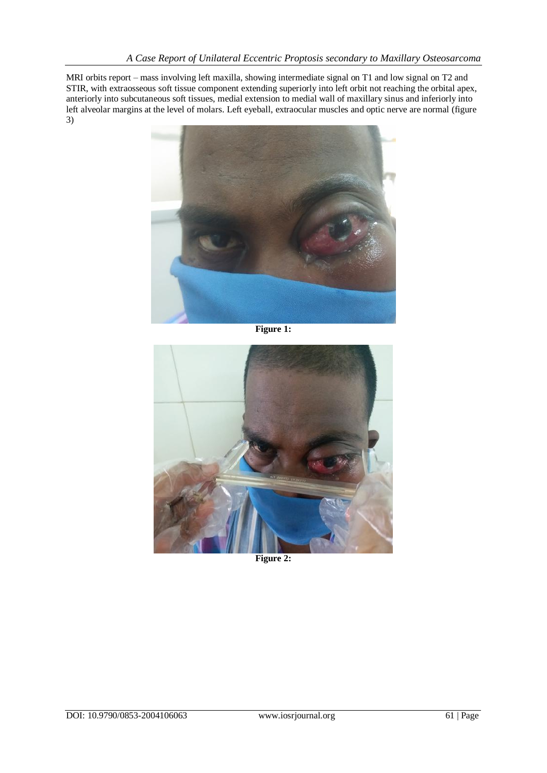MRI orbits report – mass involving left maxilla, showing intermediate signal on T1 and low signal on T2 and STIR, with extraosseous soft tissue component extending superiorly into left orbit not reaching the orbital apex, anteriorly into subcutaneous soft tissues, medial extension to medial wall of maxillary sinus and inferiorly into left alveolar margins at the level of molars. Left eyeball, extraocular muscles and optic nerve are normal (figure 3)



**Figure 1:**



**Figure 2:**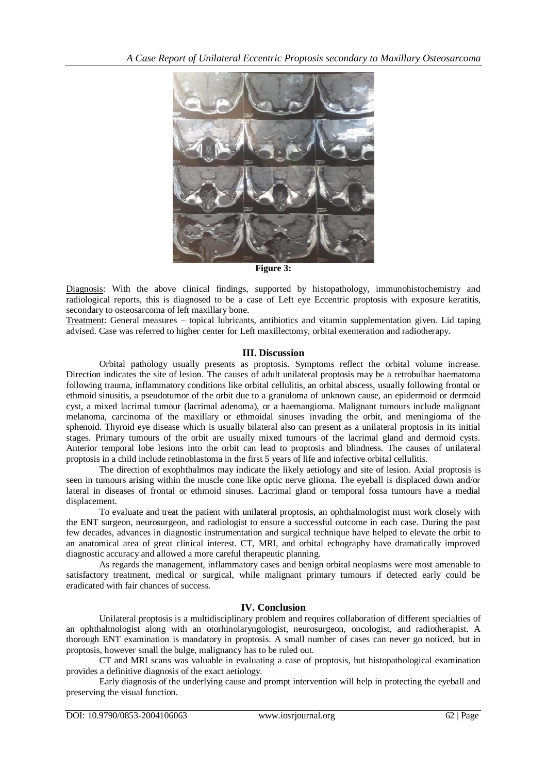

**Figure 3:**

Diagnosis: With the above clinical findings, supported by histopathology, immunohistochemistry and radiological reports, this is diagnosed to be a case of Left eye Eccentric proptosis with exposure keratitis, secondary to osteosarcoma of left maxillary bone.

Treatment: General measures – topical lubricants, antibiotics and vitamin supplementation given. Lid taping advised. Case was referred to higher center for Left maxillectomy, orbital exenteration and radiotherapy.

### **III. Discussion**

Orbital pathology usually presents as proptosis. Symptoms reflect the orbital volume increase. Direction indicates the site of lesion. The causes of adult unilateral proptosis may be a retrobulbar haematoma following trauma, inflammatory conditions like orbital cellulitis, an orbital abscess, usually following frontal or ethmoid sinusitis, a pseudotumor of the orbit due to a granuloma of unknown cause, an epidermoid or dermoid cyst, a mixed lacrimal tumour (lacrimal adenoma), or a haemangioma. Malignant tumours include malignant melanoma, carcinoma of the maxillary or ethmoidal sinuses invading the orbit, and meningioma of the sphenoid. Thyroid eye disease which is usually bilateral also can present as a unilateral proptosis in its initial stages. Primary tumours of the orbit are usually mixed tumours of the lacrimal gland and dermoid cysts. Anterior temporal lobe lesions into the orbit can lead to proptosis and blindness. The causes of unilateral proptosis in a child include retinoblastoma in the first 5 years of life and infective orbital cellulitis.

The direction of exophthalmos may indicate the likely aetiology and site of lesion. Axial proptosis is seen in tumours arising within the muscle cone like optic nerve glioma. The eyeball is displaced down and/or lateral in diseases of frontal or ethmoid sinuses. Lacrimal gland or temporal fossa tumours have a medial displacement.

To evaluate and treat the patient with unilateral proptosis, an ophthalmologist must work closely with the ENT surgeon, neurosurgeon, and radiologist to ensure a successful outcome in each case. During the past few decades, advances in diagnostic instrumentation and surgical technique have helped to elevate the orbit to an anatomical area of great clinical interest. CT, MRI, and orbital echography have dramatically improved diagnostic accuracy and allowed a more careful therapeutic planning.

As regards the management, inflammatory cases and benign orbital neoplasms were most amenable to satisfactory treatment, medical or surgical, while malignant primary tumours if detected early could be eradicated with fair chances of success.

# **IV. Conclusion**

Unilateral proptosis is a multidisciplinary problem and requires collaboration of different specialties of an ophthalmologist along with an otorhinolaryngologist, neurosurgeon, oncologist, and radiotherapist. A thorough ENT examination is mandatory in proptosis. A small number of cases can never go noticed, but in proptosis, however small the bulge, malignancy has to be ruled out.

CT and MRI scans was valuable in evaluating a case of proptosis, but histopathological examination provides a definitive diagnosis of the exact aetiology.

Early diagnosis of the underlying cause and prompt intervention will help in protecting the eyeball and preserving the visual function.